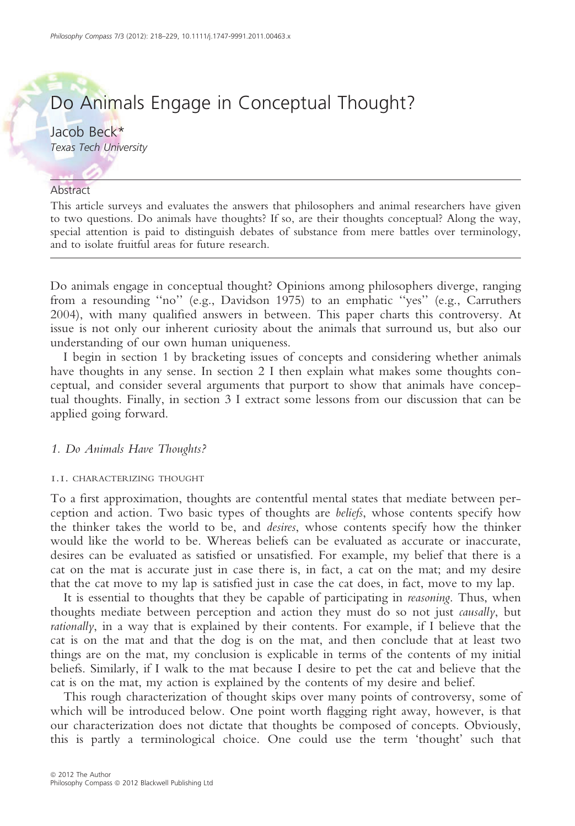# Do Animals Engage in Conceptual Thought?

Jacob Beck\* Texas Tech University

#### Abstract

This article surveys and evaluates the answers that philosophers and animal researchers have given to two questions. Do animals have thoughts? If so, are their thoughts conceptual? Along the way, special attention is paid to distinguish debates of substance from mere battles over terminology, and to isolate fruitful areas for future research.

Do animals engage in conceptual thought? Opinions among philosophers diverge, ranging from a resounding ''no'' (e.g., Davidson 1975) to an emphatic ''yes'' (e.g., Carruthers 2004), with many qualified answers in between. This paper charts this controversy. At issue is not only our inherent curiosity about the animals that surround us, but also our understanding of our own human uniqueness.

I begin in section 1 by bracketing issues of concepts and considering whether animals have thoughts in any sense. In section 2 I then explain what makes some thoughts conceptual, and consider several arguments that purport to show that animals have conceptual thoughts. Finally, in section 3 I extract some lessons from our discussion that can be applied going forward.

## 1. Do Animals Have Thoughts?

#### 1.1. CHARACTERIZING THOUGHT

To a first approximation, thoughts are contentful mental states that mediate between perception and action. Two basic types of thoughts are beliefs, whose contents specify how the thinker takes the world to be, and desires, whose contents specify how the thinker would like the world to be. Whereas beliefs can be evaluated as accurate or inaccurate, desires can be evaluated as satisfied or unsatisfied. For example, my belief that there is a cat on the mat is accurate just in case there is, in fact, a cat on the mat; and my desire that the cat move to my lap is satisfied just in case the cat does, in fact, move to my lap.

It is essential to thoughts that they be capable of participating in reasoning. Thus, when thoughts mediate between perception and action they must do so not just *causally*, but rationally, in a way that is explained by their contents. For example, if I believe that the cat is on the mat and that the dog is on the mat, and then conclude that at least two things are on the mat, my conclusion is explicable in terms of the contents of my initial beliefs. Similarly, if I walk to the mat because I desire to pet the cat and believe that the cat is on the mat, my action is explained by the contents of my desire and belief.

This rough characterization of thought skips over many points of controversy, some of which will be introduced below. One point worth flagging right away, however, is that our characterization does not dictate that thoughts be composed of concepts. Obviously, this is partly a terminological choice. One could use the term 'thought' such that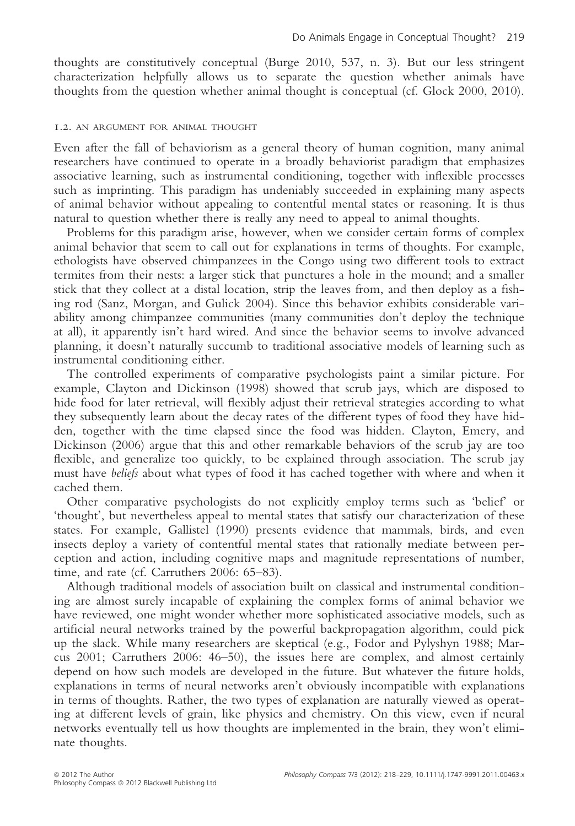thoughts are constitutively conceptual (Burge 2010, 537, n. 3). But our less stringent characterization helpfully allows us to separate the question whether animals have thoughts from the question whether animal thought is conceptual (cf. Glock 2000, 2010).

## 1.2. AN ARGUMENT FOR ANIMAL THOUGHT

Even after the fall of behaviorism as a general theory of human cognition, many animal researchers have continued to operate in a broadly behaviorist paradigm that emphasizes associative learning, such as instrumental conditioning, together with inflexible processes such as imprinting. This paradigm has undeniably succeeded in explaining many aspects of animal behavior without appealing to contentful mental states or reasoning. It is thus natural to question whether there is really any need to appeal to animal thoughts.

Problems for this paradigm arise, however, when we consider certain forms of complex animal behavior that seem to call out for explanations in terms of thoughts. For example, ethologists have observed chimpanzees in the Congo using two different tools to extract termites from their nests: a larger stick that punctures a hole in the mound; and a smaller stick that they collect at a distal location, strip the leaves from, and then deploy as a fishing rod (Sanz, Morgan, and Gulick 2004). Since this behavior exhibits considerable variability among chimpanzee communities (many communities don't deploy the technique at all), it apparently isn't hard wired. And since the behavior seems to involve advanced planning, it doesn't naturally succumb to traditional associative models of learning such as instrumental conditioning either.

The controlled experiments of comparative psychologists paint a similar picture. For example, Clayton and Dickinson (1998) showed that scrub jays, which are disposed to hide food for later retrieval, will flexibly adjust their retrieval strategies according to what they subsequently learn about the decay rates of the different types of food they have hidden, together with the time elapsed since the food was hidden. Clayton, Emery, and Dickinson (2006) argue that this and other remarkable behaviors of the scrub jay are too flexible, and generalize too quickly, to be explained through association. The scrub jay must have beliefs about what types of food it has cached together with where and when it cached them.

Other comparative psychologists do not explicitly employ terms such as 'belief' or 'thought', but nevertheless appeal to mental states that satisfy our characterization of these states. For example, Gallistel (1990) presents evidence that mammals, birds, and even insects deploy a variety of contentful mental states that rationally mediate between perception and action, including cognitive maps and magnitude representations of number, time, and rate (cf. Carruthers 2006: 65–83).

Although traditional models of association built on classical and instrumental conditioning are almost surely incapable of explaining the complex forms of animal behavior we have reviewed, one might wonder whether more sophisticated associative models, such as artificial neural networks trained by the powerful backpropagation algorithm, could pick up the slack. While many researchers are skeptical (e.g., Fodor and Pylyshyn 1988; Marcus 2001; Carruthers 2006: 46–50), the issues here are complex, and almost certainly depend on how such models are developed in the future. But whatever the future holds, explanations in terms of neural networks aren't obviously incompatible with explanations in terms of thoughts. Rather, the two types of explanation are naturally viewed as operating at different levels of grain, like physics and chemistry. On this view, even if neural networks eventually tell us how thoughts are implemented in the brain, they won't eliminate thoughts.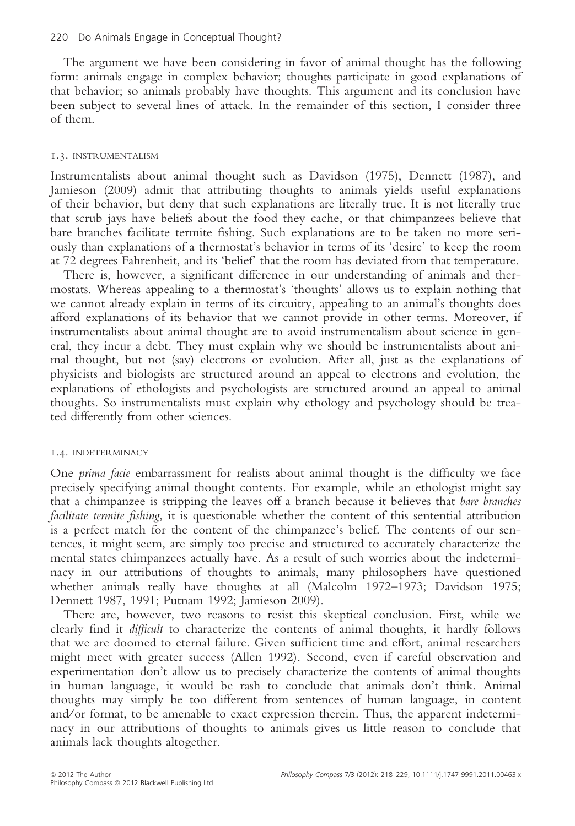## 220 Do Animals Engage in Conceptual Thought?

The argument we have been considering in favor of animal thought has the following form: animals engage in complex behavior; thoughts participate in good explanations of that behavior; so animals probably have thoughts. This argument and its conclusion have been subject to several lines of attack. In the remainder of this section, I consider three of them.

#### 1.3. INSTRUMENTALISM

Instrumentalists about animal thought such as Davidson (1975), Dennett (1987), and Jamieson (2009) admit that attributing thoughts to animals yields useful explanations of their behavior, but deny that such explanations are literally true. It is not literally true that scrub jays have beliefs about the food they cache, or that chimpanzees believe that bare branches facilitate termite fishing. Such explanations are to be taken no more seriously than explanations of a thermostat's behavior in terms of its 'desire' to keep the room at 72 degrees Fahrenheit, and its 'belief' that the room has deviated from that temperature.

There is, however, a significant difference in our understanding of animals and thermostats. Whereas appealing to a thermostat's 'thoughts' allows us to explain nothing that we cannot already explain in terms of its circuitry, appealing to an animal's thoughts does afford explanations of its behavior that we cannot provide in other terms. Moreover, if instrumentalists about animal thought are to avoid instrumentalism about science in general, they incur a debt. They must explain why we should be instrumentalists about animal thought, but not (say) electrons or evolution. After all, just as the explanations of physicists and biologists are structured around an appeal to electrons and evolution, the explanations of ethologists and psychologists are structured around an appeal to animal thoughts. So instrumentalists must explain why ethology and psychology should be treated differently from other sciences.

# 1.4. INDETERMINACY

One prima facie embarrassment for realists about animal thought is the difficulty we face precisely specifying animal thought contents. For example, while an ethologist might say that a chimpanzee is stripping the leaves off a branch because it believes that bare branches facilitate termite fishing, it is questionable whether the content of this sentential attribution is a perfect match for the content of the chimpanzee's belief. The contents of our sentences, it might seem, are simply too precise and structured to accurately characterize the mental states chimpanzees actually have. As a result of such worries about the indeterminacy in our attributions of thoughts to animals, many philosophers have questioned whether animals really have thoughts at all (Malcolm 1972–1973; Davidson 1975; Dennett 1987, 1991; Putnam 1992; Jamieson 2009).

There are, however, two reasons to resist this skeptical conclusion. First, while we clearly find it difficult to characterize the contents of animal thoughts, it hardly follows that we are doomed to eternal failure. Given sufficient time and effort, animal researchers might meet with greater success (Allen 1992). Second, even if careful observation and experimentation don't allow us to precisely characterize the contents of animal thoughts in human language, it would be rash to conclude that animals don't think. Animal thoughts may simply be too different from sentences of human language, in content and/or format, to be amenable to exact expression therein. Thus, the apparent indeterminacy in our attributions of thoughts to animals gives us little reason to conclude that animals lack thoughts altogether.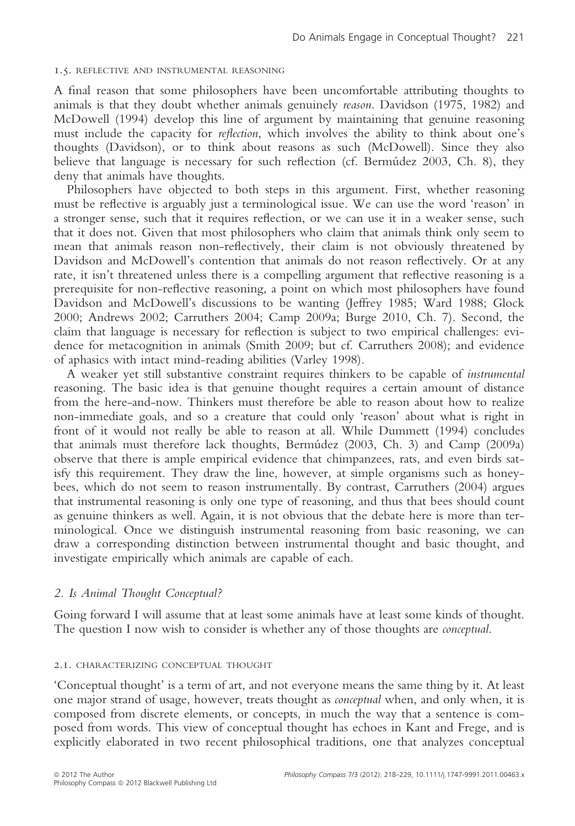#### 1.5. REFLECTIVE AND INSTRUMENTAL REASONING

A final reason that some philosophers have been uncomfortable attributing thoughts to animals is that they doubt whether animals genuinely reason. Davidson (1975, 1982) and McDowell (1994) develop this line of argument by maintaining that genuine reasoning must include the capacity for reflection, which involves the ability to think about one's thoughts (Davidson), or to think about reasons as such (McDowell). Since they also believe that language is necessary for such reflection (cf. Bermudez 2003, Ch. 8), they deny that animals have thoughts.

Philosophers have objected to both steps in this argument. First, whether reasoning must be reflective is arguably just a terminological issue. We can use the word 'reason' in a stronger sense, such that it requires reflection, or we can use it in a weaker sense, such that it does not. Given that most philosophers who claim that animals think only seem to mean that animals reason non-reflectively, their claim is not obviously threatened by Davidson and McDowell's contention that animals do not reason reflectively. Or at any rate, it isn't threatened unless there is a compelling argument that reflective reasoning is a prerequisite for non-reflective reasoning, a point on which most philosophers have found Davidson and McDowell's discussions to be wanting (Jeffrey 1985; Ward 1988; Glock 2000; Andrews 2002; Carruthers 2004; Camp 2009a; Burge 2010, Ch. 7). Second, the claim that language is necessary for reflection is subject to two empirical challenges: evidence for metacognition in animals (Smith 2009; but cf. Carruthers 2008); and evidence of aphasics with intact mind-reading abilities (Varley 1998).

A weaker yet still substantive constraint requires thinkers to be capable of instrumental reasoning. The basic idea is that genuine thought requires a certain amount of distance from the here-and-now. Thinkers must therefore be able to reason about how to realize non-immediate goals, and so a creature that could only 'reason' about what is right in front of it would not really be able to reason at all. While Dummett (1994) concludes that animals must therefore lack thoughts, Bermu´dez (2003, Ch. 3) and Camp (2009a) observe that there is ample empirical evidence that chimpanzees, rats, and even birds satisfy this requirement. They draw the line, however, at simple organisms such as honeybees, which do not seem to reason instrumentally. By contrast, Carruthers (2004) argues that instrumental reasoning is only one type of reasoning, and thus that bees should count as genuine thinkers as well. Again, it is not obvious that the debate here is more than terminological. Once we distinguish instrumental reasoning from basic reasoning, we can draw a corresponding distinction between instrumental thought and basic thought, and investigate empirically which animals are capable of each.

# 2. Is Animal Thought Conceptual?

Going forward I will assume that at least some animals have at least some kinds of thought. The question I now wish to consider is whether any of those thoughts are conceptual.

#### 2.1. CHARACTERIZING CONCEPTUAL THOUGHT

'Conceptual thought' is a term of art, and not everyone means the same thing by it. At least one major strand of usage, however, treats thought as conceptual when, and only when, it is composed from discrete elements, or concepts, in much the way that a sentence is composed from words. This view of conceptual thought has echoes in Kant and Frege, and is explicitly elaborated in two recent philosophical traditions, one that analyzes conceptual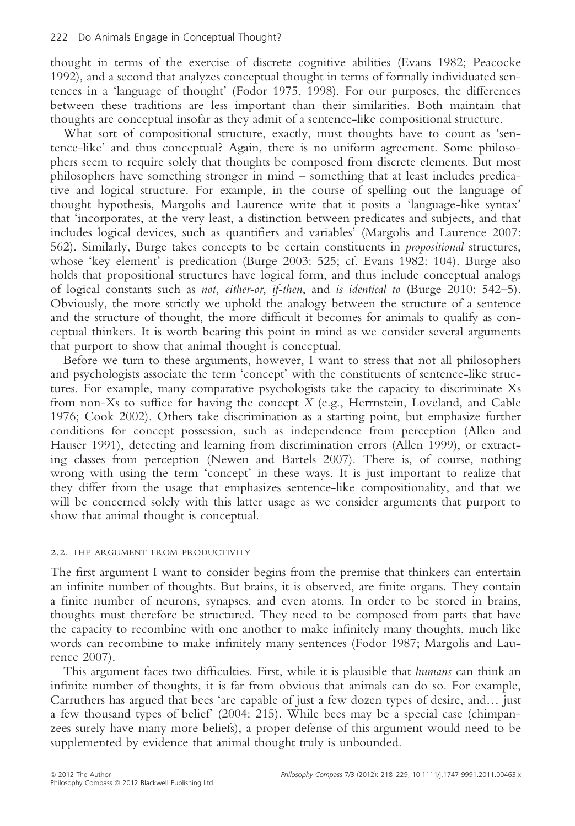thought in terms of the exercise of discrete cognitive abilities (Evans 1982; Peacocke 1992), and a second that analyzes conceptual thought in terms of formally individuated sentences in a 'language of thought' (Fodor 1975, 1998). For our purposes, the differences between these traditions are less important than their similarities. Both maintain that thoughts are conceptual insofar as they admit of a sentence-like compositional structure.

What sort of compositional structure, exactly, must thoughts have to count as 'sentence-like' and thus conceptual? Again, there is no uniform agreement. Some philosophers seem to require solely that thoughts be composed from discrete elements. But most philosophers have something stronger in mind – something that at least includes predicative and logical structure. For example, in the course of spelling out the language of thought hypothesis, Margolis and Laurence write that it posits a 'language-like syntax' that 'incorporates, at the very least, a distinction between predicates and subjects, and that includes logical devices, such as quantifiers and variables' (Margolis and Laurence 2007: 562). Similarly, Burge takes concepts to be certain constituents in propositional structures, whose 'key element' is predication (Burge 2003: 525; cf. Evans 1982: 104). Burge also holds that propositional structures have logical form, and thus include conceptual analogs of logical constants such as not, either-or, if-then, and is identical to (Burge 2010: 542–5). Obviously, the more strictly we uphold the analogy between the structure of a sentence and the structure of thought, the more difficult it becomes for animals to qualify as conceptual thinkers. It is worth bearing this point in mind as we consider several arguments that purport to show that animal thought is conceptual.

Before we turn to these arguments, however, I want to stress that not all philosophers and psychologists associate the term 'concept' with the constituents of sentence-like structures. For example, many comparative psychologists take the capacity to discriminate Xs from non-Xs to suffice for having the concept  $X$  (e.g., Herrnstein, Loveland, and Cable 1976; Cook 2002). Others take discrimination as a starting point, but emphasize further conditions for concept possession, such as independence from perception (Allen and Hauser 1991), detecting and learning from discrimination errors (Allen 1999), or extracting classes from perception (Newen and Bartels 2007). There is, of course, nothing wrong with using the term 'concept' in these ways. It is just important to realize that they differ from the usage that emphasizes sentence-like compositionality, and that we will be concerned solely with this latter usage as we consider arguments that purport to show that animal thought is conceptual.

# 2.2. THE ARGUMENT FROM PRODUCTIVITY

The first argument I want to consider begins from the premise that thinkers can entertain an infinite number of thoughts. But brains, it is observed, are finite organs. They contain a finite number of neurons, synapses, and even atoms. In order to be stored in brains, thoughts must therefore be structured. They need to be composed from parts that have the capacity to recombine with one another to make infinitely many thoughts, much like words can recombine to make infinitely many sentences (Fodor 1987; Margolis and Laurence 2007).

This argument faces two difficulties. First, while it is plausible that humans can think an infinite number of thoughts, it is far from obvious that animals can do so. For example, Carruthers has argued that bees 'are capable of just a few dozen types of desire, and… just a few thousand types of belief' (2004: 215). While bees may be a special case (chimpanzees surely have many more beliefs), a proper defense of this argument would need to be supplemented by evidence that animal thought truly is unbounded.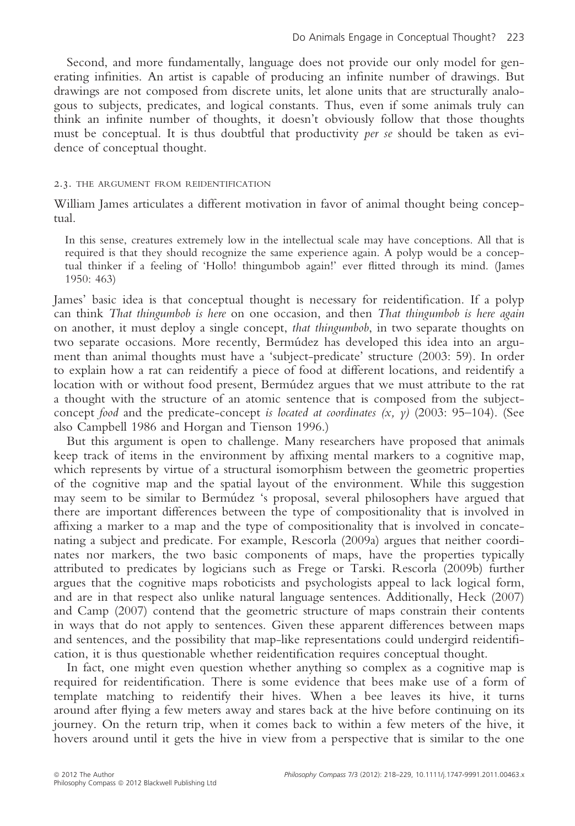Second, and more fundamentally, language does not provide our only model for generating infinities. An artist is capable of producing an infinite number of drawings. But drawings are not composed from discrete units, let alone units that are structurally analogous to subjects, predicates, and logical constants. Thus, even if some animals truly can think an infinite number of thoughts, it doesn't obviously follow that those thoughts must be conceptual. It is thus doubtful that productivity per se should be taken as evidence of conceptual thought.

## 2.3. THE ARGUMENT FROM REIDENTIFICATION

William James articulates a different motivation in favor of animal thought being conceptual.

In this sense, creatures extremely low in the intellectual scale may have conceptions. All that is required is that they should recognize the same experience again. A polyp would be a conceptual thinker if a feeling of 'Hollo! thingumbob again!' ever flitted through its mind. (James 1950: 463)

James' basic idea is that conceptual thought is necessary for reidentification. If a polyp can think That thingumbob is here on one occasion, and then That thingumbob is here again on another, it must deploy a single concept, that thingumbob, in two separate thoughts on two separate occasions. More recently, Bermudez has developed this idea into an argument than animal thoughts must have a 'subject-predicate' structure (2003: 59). In order to explain how a rat can reidentify a piece of food at different locations, and reidentify a location with or without food present, Bermu´dez argues that we must attribute to the rat a thought with the structure of an atomic sentence that is composed from the subjectconcept food and the predicate-concept is located at coordinates  $(x, y)$  (2003: 95–104). (See also Campbell 1986 and Horgan and Tienson 1996.)

But this argument is open to challenge. Many researchers have proposed that animals keep track of items in the environment by affixing mental markers to a cognitive map, which represents by virtue of a structural isomorphism between the geometric properties of the cognitive map and the spatial layout of the environment. While this suggestion may seem to be similar to Bermúdez 's proposal, several philosophers have argued that there are important differences between the type of compositionality that is involved in affixing a marker to a map and the type of compositionality that is involved in concatenating a subject and predicate. For example, Rescorla (2009a) argues that neither coordinates nor markers, the two basic components of maps, have the properties typically attributed to predicates by logicians such as Frege or Tarski. Rescorla (2009b) further argues that the cognitive maps roboticists and psychologists appeal to lack logical form, and are in that respect also unlike natural language sentences. Additionally, Heck (2007) and Camp (2007) contend that the geometric structure of maps constrain their contents in ways that do not apply to sentences. Given these apparent differences between maps and sentences, and the possibility that map-like representations could undergird reidentification, it is thus questionable whether reidentification requires conceptual thought.

In fact, one might even question whether anything so complex as a cognitive map is required for reidentification. There is some evidence that bees make use of a form of template matching to reidentify their hives. When a bee leaves its hive, it turns around after flying a few meters away and stares back at the hive before continuing on its journey. On the return trip, when it comes back to within a few meters of the hive, it hovers around until it gets the hive in view from a perspective that is similar to the one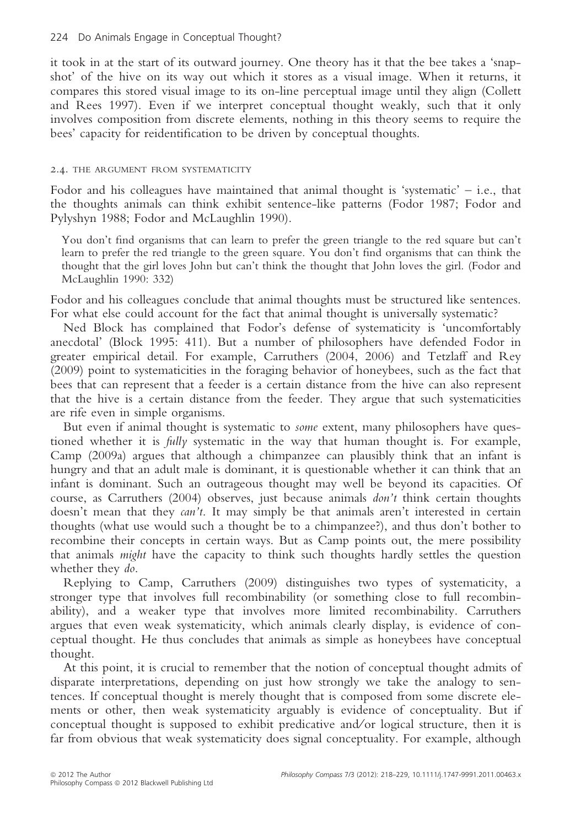it took in at the start of its outward journey. One theory has it that the bee takes a 'snapshot' of the hive on its way out which it stores as a visual image. When it returns, it compares this stored visual image to its on-line perceptual image until they align (Collett and Rees 1997). Even if we interpret conceptual thought weakly, such that it only involves composition from discrete elements, nothing in this theory seems to require the bees' capacity for reidentification to be driven by conceptual thoughts.

# 2.4. THE ARGUMENT FROM SYSTEMATICITY

Fodor and his colleagues have maintained that animal thought is 'systematic'  $-$  i.e., that the thoughts animals can think exhibit sentence-like patterns (Fodor 1987; Fodor and Pylyshyn 1988; Fodor and McLaughlin 1990).

You don't find organisms that can learn to prefer the green triangle to the red square but can't learn to prefer the red triangle to the green square. You don't find organisms that can think the thought that the girl loves John but can't think the thought that John loves the girl. (Fodor and McLaughlin 1990: 332)

Fodor and his colleagues conclude that animal thoughts must be structured like sentences. For what else could account for the fact that animal thought is universally systematic?

Ned Block has complained that Fodor's defense of systematicity is 'uncomfortably anecdotal' (Block 1995: 411). But a number of philosophers have defended Fodor in greater empirical detail. For example, Carruthers (2004, 2006) and Tetzlaff and Rey (2009) point to systematicities in the foraging behavior of honeybees, such as the fact that bees that can represent that a feeder is a certain distance from the hive can also represent that the hive is a certain distance from the feeder. They argue that such systematicities are rife even in simple organisms.

But even if animal thought is systematic to *some* extent, many philosophers have questioned whether it is fully systematic in the way that human thought is. For example, Camp (2009a) argues that although a chimpanzee can plausibly think that an infant is hungry and that an adult male is dominant, it is questionable whether it can think that an infant is dominant. Such an outrageous thought may well be beyond its capacities. Of course, as Carruthers (2004) observes, just because animals don't think certain thoughts doesn't mean that they *can't*. It may simply be that animals aren't interested in certain thoughts (what use would such a thought be to a chimpanzee?), and thus don't bother to recombine their concepts in certain ways. But as Camp points out, the mere possibility that animals might have the capacity to think such thoughts hardly settles the question whether they *do*.

Replying to Camp, Carruthers (2009) distinguishes two types of systematicity, a stronger type that involves full recombinability (or something close to full recombinability), and a weaker type that involves more limited recombinability. Carruthers argues that even weak systematicity, which animals clearly display, is evidence of conceptual thought. He thus concludes that animals as simple as honeybees have conceptual thought.

At this point, it is crucial to remember that the notion of conceptual thought admits of disparate interpretations, depending on just how strongly we take the analogy to sentences. If conceptual thought is merely thought that is composed from some discrete elements or other, then weak systematicity arguably is evidence of conceptuality. But if conceptual thought is supposed to exhibit predicative and/or logical structure, then it is far from obvious that weak systematicity does signal conceptuality. For example, although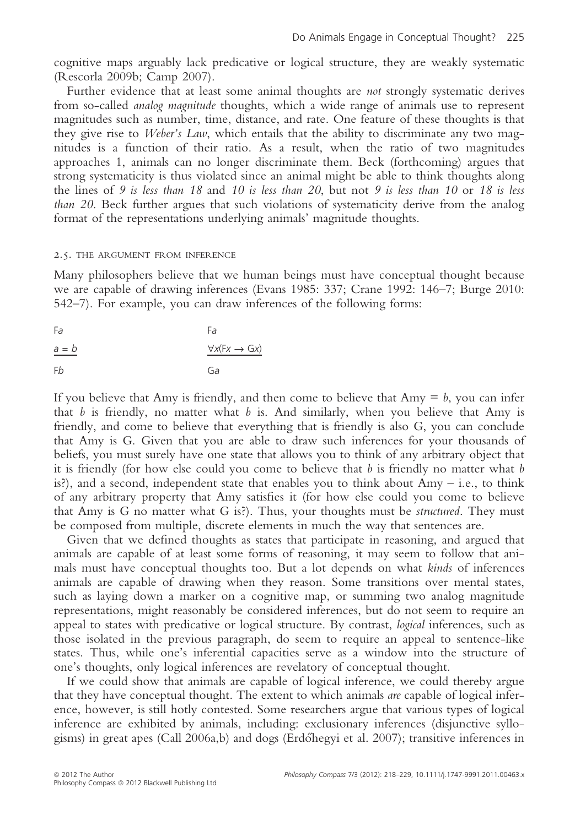cognitive maps arguably lack predicative or logical structure, they are weakly systematic (Rescorla 2009b; Camp 2007).

Further evidence that at least some animal thoughts are *not* strongly systematic derives from so-called analog magnitude thoughts, which a wide range of animals use to represent magnitudes such as number, time, distance, and rate. One feature of these thoughts is that they give rise to Weber's Law, which entails that the ability to discriminate any two magnitudes is a function of their ratio. As a result, when the ratio of two magnitudes approaches 1, animals can no longer discriminate them. Beck (forthcoming) argues that strong systematicity is thus violated since an animal might be able to think thoughts along the lines of 9 is less than 18 and 10 is less than 20, but not 9 is less than 10 or 18 is less than 20. Beck further argues that such violations of systematicity derive from the analog format of the representations underlying animals' magnitude thoughts.

#### 2.5. THE ARGUMENT FROM INFERENCE

Many philosophers believe that we human beings must have conceptual thought because we are capable of drawing inferences (Evans 1985: 337; Crane 1992: 146–7; Burge 2010: 542–7). For example, you can draw inferences of the following forms:

$$
Fa \qquad \qquad \text{Fa}
$$

$$
\frac{a = b}{\forall x (Fx \rightarrow Gx)}
$$
  
FD  

If you believe that Amy is friendly, and then come to believe that Amy  $= b$ , you can infer that  $b$  is friendly, no matter what  $b$  is. And similarly, when you believe that Amy is friendly, and come to believe that everything that is friendly is also G, you can conclude that Amy is G. Given that you are able to draw such inferences for your thousands of beliefs, you must surely have one state that allows you to think of any arbitrary object that it is friendly (for how else could you come to believe that b is friendly no matter what b is?), and a second, independent state that enables you to think about Amy  $-$  i.e., to think of any arbitrary property that Amy satisfies it (for how else could you come to believe that Amy is G no matter what G is?). Thus, your thoughts must be structured. They must be composed from multiple, discrete elements in much the way that sentences are.

Given that we defined thoughts as states that participate in reasoning, and argued that animals are capable of at least some forms of reasoning, it may seem to follow that animals must have conceptual thoughts too. But a lot depends on what kinds of inferences animals are capable of drawing when they reason. Some transitions over mental states, such as laying down a marker on a cognitive map, or summing two analog magnitude representations, might reasonably be considered inferences, but do not seem to require an appeal to states with predicative or logical structure. By contrast, logical inferences, such as those isolated in the previous paragraph, do seem to require an appeal to sentence-like states. Thus, while one's inferential capacities serve as a window into the structure of one's thoughts, only logical inferences are revelatory of conceptual thought.

If we could show that animals are capable of logical inference, we could thereby argue that they have conceptual thought. The extent to which animals are capable of logical inference, however, is still hotly contested. Some researchers argue that various types of logical inference are exhibited by animals, including: exclusionary inferences (disjunctive syllogisms) in great apes (Call 2006a,b) and dogs (Erdőhegyi et al. 2007); transitive inferences in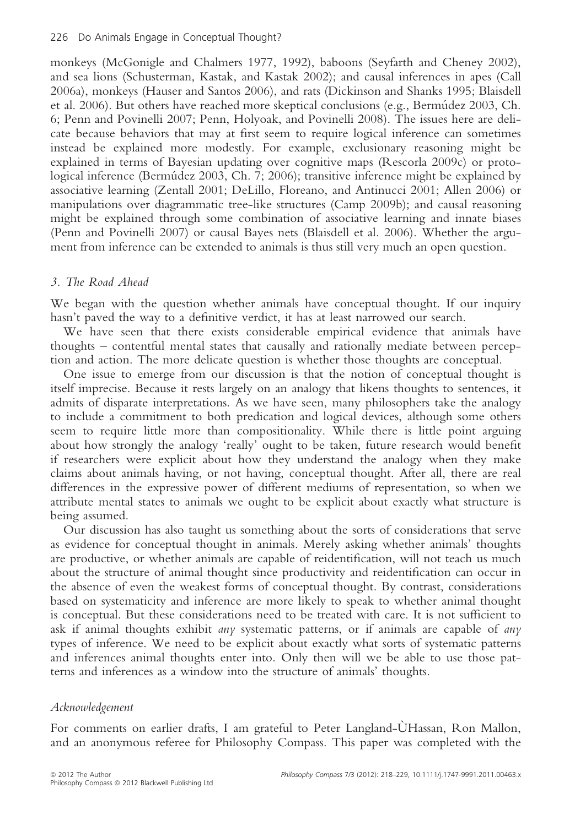monkeys (McGonigle and Chalmers 1977, 1992), baboons (Seyfarth and Cheney 2002), and sea lions (Schusterman, Kastak, and Kastak 2002); and causal inferences in apes (Call 2006a), monkeys (Hauser and Santos 2006), and rats (Dickinson and Shanks 1995; Blaisdell et al. 2006). But others have reached more skeptical conclusions (e.g., Bermúdez 2003, Ch. 6; Penn and Povinelli 2007; Penn, Holyoak, and Povinelli 2008). The issues here are delicate because behaviors that may at first seem to require logical inference can sometimes instead be explained more modestly. For example, exclusionary reasoning might be explained in terms of Bayesian updating over cognitive maps (Rescorla 2009c) or protological inference (Bermúdez 2003, Ch. 7; 2006); transitive inference might be explained by associative learning (Zentall 2001; DeLillo, Floreano, and Antinucci 2001; Allen 2006) or manipulations over diagrammatic tree-like structures (Camp 2009b); and causal reasoning might be explained through some combination of associative learning and innate biases (Penn and Povinelli 2007) or causal Bayes nets (Blaisdell et al. 2006). Whether the argument from inference can be extended to animals is thus still very much an open question.

# 3. The Road Ahead

We began with the question whether animals have conceptual thought. If our inquiry hasn't paved the way to a definitive verdict, it has at least narrowed our search.

We have seen that there exists considerable empirical evidence that animals have thoughts – contentful mental states that causally and rationally mediate between perception and action. The more delicate question is whether those thoughts are conceptual.

One issue to emerge from our discussion is that the notion of conceptual thought is itself imprecise. Because it rests largely on an analogy that likens thoughts to sentences, it admits of disparate interpretations. As we have seen, many philosophers take the analogy to include a commitment to both predication and logical devices, although some others seem to require little more than compositionality. While there is little point arguing about how strongly the analogy 'really' ought to be taken, future research would benefit if researchers were explicit about how they understand the analogy when they make claims about animals having, or not having, conceptual thought. After all, there are real differences in the expressive power of different mediums of representation, so when we attribute mental states to animals we ought to be explicit about exactly what structure is being assumed.

Our discussion has also taught us something about the sorts of considerations that serve as evidence for conceptual thought in animals. Merely asking whether animals' thoughts are productive, or whether animals are capable of reidentification, will not teach us much about the structure of animal thought since productivity and reidentification can occur in the absence of even the weakest forms of conceptual thought. By contrast, considerations based on systematicity and inference are more likely to speak to whether animal thought is conceptual. But these considerations need to be treated with care. It is not sufficient to ask if animal thoughts exhibit any systematic patterns, or if animals are capable of any types of inference. We need to be explicit about exactly what sorts of systematic patterns and inferences animal thoughts enter into. Only then will we be able to use those patterns and inferences as a window into the structure of animals' thoughts.

# Acknowledgement

For comments on earlier drafts, I am grateful to Peter Langland-Ù Hassan, Ron Mallon, and an anonymous referee for Philosophy Compass. This paper was completed with the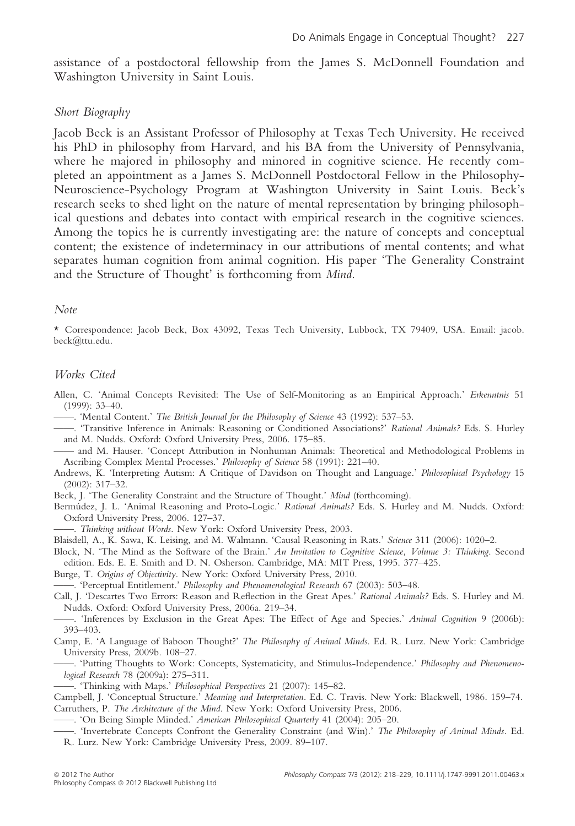assistance of a postdoctoral fellowship from the James S. McDonnell Foundation and Washington University in Saint Louis.

# Short Biography

Jacob Beck is an Assistant Professor of Philosophy at Texas Tech University. He received his PhD in philosophy from Harvard, and his BA from the University of Pennsylvania, where he majored in philosophy and minored in cognitive science. He recently completed an appointment as a James S. McDonnell Postdoctoral Fellow in the Philosophy-Neuroscience-Psychology Program at Washington University in Saint Louis. Beck's research seeks to shed light on the nature of mental representation by bringing philosophical questions and debates into contact with empirical research in the cognitive sciences. Among the topics he is currently investigating are: the nature of concepts and conceptual content; the existence of indeterminacy in our attributions of mental contents; and what separates human cognition from animal cognition. His paper 'The Generality Constraint and the Structure of Thought' is forthcoming from Mind.

## Note

\* Correspondence: Jacob Beck, Box 43092, Texas Tech University, Lubbock, TX 79409, USA. Email: jacob. beck@ttu.edu.

## Works Cited

- Allen, C. 'Animal Concepts Revisited: The Use of Self-Monitoring as an Empirical Approach.' Erkenntnis 51 (1999): 33–40.
- ——. 'Mental Content.' The British Journal for the Philosophy of Science 43 (1992): 537–53.
- ---. 'Transitive Inference in Animals: Reasoning or Conditioned Associations?' Rational Animals? Eds. S. Hurley and M. Nudds. Oxford: Oxford University Press, 2006. 175–85.
- —— and M. Hauser. 'Concept Attribution in Nonhuman Animals: Theoretical and Methodological Problems in Ascribing Complex Mental Processes.' Philosophy of Science 58 (1991): 221–40.
- Andrews, K. 'Interpreting Autism: A Critique of Davidson on Thought and Language.' Philosophical Psychology 15 (2002): 317–32.
- Beck, J. 'The Generality Constraint and the Structure of Thought.' Mind (forthcoming).
- Bermudez, J. L. 'Animal Reasoning and Proto-Logic.' Rational Animals? Eds. S. Hurley and M. Nudds. Oxford: Oxford University Press, 2006. 127–37.
- -. Thinking without Words. New York: Oxford University Press, 2003.
- Blaisdell, A., K. Sawa, K. Leising, and M. Walmann. 'Causal Reasoning in Rats.' Science 311 (2006): 1020-2.
- Block, N. 'The Mind as the Software of the Brain.' An Invitation to Cognitive Science, Volume 3: Thinking. Second edition. Eds. E. E. Smith and D. N. Osherson. Cambridge, MA: MIT Press, 1995. 377–425.
- Burge, T. Origins of Objectivity. New York: Oxford University Press, 2010.
- ——. 'Perceptual Entitlement.' Philosophy and Phenomenological Research 67 (2003): 503–48.
- Call, J. 'Descartes Two Errors: Reason and Reflection in the Great Apes.' Rational Animals? Eds. S. Hurley and M. Nudds. Oxford: Oxford University Press, 2006a. 219–34.

——. 'Inferences by Exclusion in the Great Apes: The Effect of Age and Species.' Animal Cognition 9 (2006b): 393–403.

Camp, E. 'A Language of Baboon Thought?' The Philosophy of Animal Minds. Ed. R. Lurz. New York: Cambridge University Press, 2009b. 108–27.

——. 'Putting Thoughts to Work: Concepts, Systematicity, and Stimulus-Independence.' Philosophy and Phenomenological Research 78 (2009a): 275–311.

——. 'Thinking with Maps.' Philosophical Perspectives 21 (2007): 145–82.

Campbell, J. 'Conceptual Structure.' Meaning and Interpretation. Ed. C. Travis. New York: Blackwell, 1986. 159–74. Carruthers, P. The Architecture of the Mind. New York: Oxford University Press, 2006.

——. 'On Being Simple Minded.' American Philosophical Quarterly 41 (2004): 205–20.

——. 'Invertebrate Concepts Confront the Generality Constraint (and Win).' The Philosophy of Animal Minds. Ed. R. Lurz. New York: Cambridge University Press, 2009. 89–107.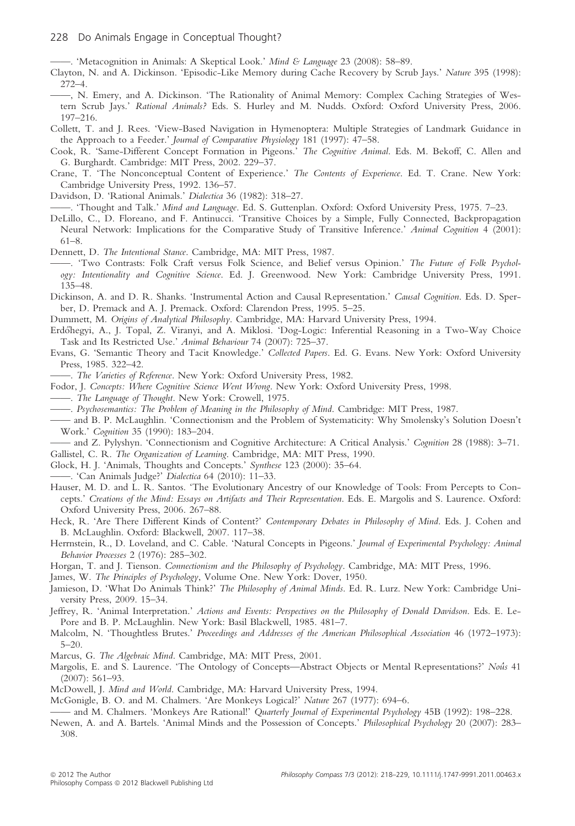- Clayton, N. and A. Dickinson. 'Episodic-Like Memory during Cache Recovery by Scrub Jays.' Nature 395 (1998): 272–4.
- ——, N. Emery, and A. Dickinson. 'The Rationality of Animal Memory: Complex Caching Strategies of Western Scrub Jays.' Rational Animals? Eds. S. Hurley and M. Nudds. Oxford: Oxford University Press, 2006. 197–216.
- Collett, T. and J. Rees. 'View-Based Navigation in Hymenoptera: Multiple Strategies of Landmark Guidance in the Approach to a Feeder.' Journal of Comparative Physiology 181 (1997): 47–58.
- Cook, R. 'Same-Different Concept Formation in Pigeons.' The Cognitive Animal. Eds. M. Bekoff, C. Allen and G. Burghardt. Cambridge: MIT Press, 2002. 229–37.
- Crane, T. 'The Nonconceptual Content of Experience.' The Contents of Experience. Ed. T. Crane. New York: Cambridge University Press, 1992. 136–57.
- Davidson, D. 'Rational Animals.' Dialectica 36 (1982): 318–27.
- ——. 'Thought and Talk.' Mind and Language. Ed. S. Guttenplan. Oxford: Oxford University Press, 1975. 7–23.
- DeLillo, C., D. Floreano, and F. Antinucci. 'Transitive Choices by a Simple, Fully Connected, Backpropagation Neural Network: Implications for the Comparative Study of Transitive Inference.' Animal Cognition 4 (2001): 61–8.
- Dennett, D. The Intentional Stance. Cambridge, MA: MIT Press, 1987.
- ——. 'Two Contrasts: Folk Craft versus Folk Science, and Belief versus Opinion.' The Future of Folk Psychology: Intentionality and Cognitive Science. Ed. J. Greenwood. New York: Cambridge University Press, 1991. 135–48.
- Dickinson, A. and D. R. Shanks. 'Instrumental Action and Causal Representation.' Causal Cognition. Eds. D. Sperber, D. Premack and A. J. Premack. Oxford: Clarendon Press, 1995. 5–25.
- Dummett, M. Origins of Analytical Philosophy. Cambridge, MA: Harvard University Press, 1994.
- Erdőhegyi, A., J. Topal, Z. Viranyi, and A. Miklosi. 'Dog-Logic: Inferential Reasoning in a Two-Way Choice Task and Its Restricted Use.' Animal Behaviour 74 (2007): 725–37.
- Evans, G. 'Semantic Theory and Tacit Knowledge.' Collected Papers. Ed. G. Evans. New York: Oxford University Press, 1985. 322–42.
- -. The Varieties of Reference. New York: Oxford University Press, 1982.
- Fodor, J. Concepts: Where Cognitive Science Went Wrong. New York: Oxford University Press, 1998.
- ——. The Language of Thought. New York: Crowell, 1975.
- ——. Psychosemantics: The Problem of Meaning in the Philosophy of Mind. Cambridge: MIT Press, 1987.
- —— and B. P. McLaughlin. 'Connectionism and the Problem of Systematicity: Why Smolensky's Solution Doesn't Work.' Cognition 35 (1990): 183–204.
- —— and Z. Pylyshyn. 'Connectionism and Cognitive Architecture: A Critical Analysis.' Cognition 28 (1988): 3–71. Gallistel, C. R. The Organization of Learning. Cambridge, MA: MIT Press, 1990.
- Glock, H. J. 'Animals, Thoughts and Concepts.' Synthese 123 (2000): 35–64.
- ——. 'Can Animals Judge?' Dialectica 64 (2010): 11–33.
- Hauser, M. D. and L. R. Santos. 'The Evolutionary Ancestry of our Knowledge of Tools: From Percepts to Concepts.' Creations of the Mind: Essays on Artifacts and Their Representation. Eds. E. Margolis and S. Laurence. Oxford: Oxford University Press, 2006. 267–88.
- Heck, R. 'Are There Different Kinds of Content?' Contemporary Debates in Philosophy of Mind. Eds. J. Cohen and B. McLaughlin. Oxford: Blackwell, 2007. 117–38.
- Herrnstein, R., D. Loveland, and C. Cable. 'Natural Concepts in Pigeons.' Journal of Experimental Psychology: Animal Behavior Processes 2 (1976): 285–302.
- Horgan, T. and J. Tienson. Connectionism and the Philosophy of Psychology. Cambridge, MA: MIT Press, 1996.

James, W. The Principles of Psychology, Volume One. New York: Dover, 1950.

- Jamieson, D. 'What Do Animals Think?' The Philosophy of Animal Minds. Ed. R. Lurz. New York: Cambridge University Press, 2009. 15–34.
- Jeffrey, R. 'Animal Interpretation.' Actions and Events: Perspectives on the Philosophy of Donald Davidson. Eds. E. Le-Pore and B. P. McLaughlin. New York: Basil Blackwell, 1985. 481–7.
- Malcolm, N. 'Thoughtless Brutes.' Proceedings and Addresses of the American Philosophical Association 46 (1972–1973): 5–20.

Marcus, G. The Algebraic Mind. Cambridge, MA: MIT Press, 2001.

- Margolis, E. and S. Laurence. 'The Ontology of Concepts—Abstract Objects or Mental Representations?' Nous 41 (2007): 561–93.
- McDowell, J. Mind and World. Cambridge, MA: Harvard University Press, 1994.
- McGonigle, B. O. and M. Chalmers. 'Are Monkeys Logical?' Nature 267 (1977): 694–6.
- —— and M. Chalmers. 'Monkeys Are Rational!' Quarterly Journal of Experimental Psychology 45B (1992): 198–228.
- Newen, A. and A. Bartels. 'Animal Minds and the Possession of Concepts.' Philosophical Psychology 20 (2007): 283– 308.

<sup>——. &#</sup>x27;Metacognition in Animals: A Skeptical Look.' Mind & Language 23 (2008): 58–89.